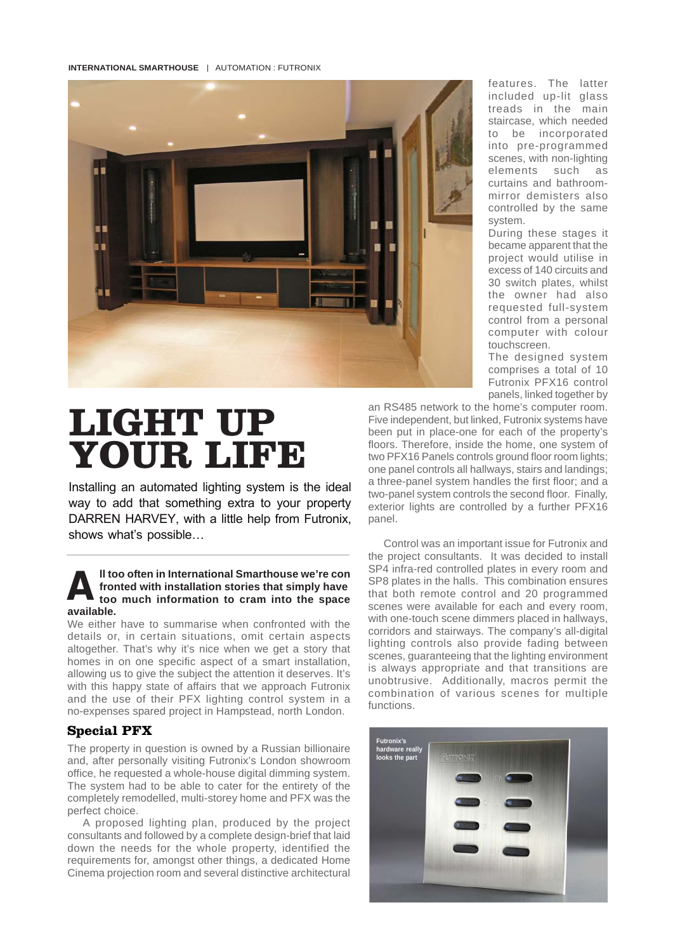**INTERNATIONAL SMARTHOUSE | AUTOMATION : FUTRONIX** 



curtains and bathroom-<br>mirror demisters also<br>controlled by the same<br>system features. The latter included up-lit glass treads in the main staircase, which needed to be incorporated into pre-programmed scenes, with non-lighting elements such as curtains and bathroommirror demisters also system.

During these stages it<br>became apparent that the<br>project would utilise in<br>excess of 140 circuits and 30 switch plates, whilst<br>the owner had also<br>requested full-system<br>control from a personal comp<br>touch<br>The During these stages it became apparent that the excess of 140 circuits and 30 switch plates, whilst the owner had also control from a personal computer with colour touchscreen.

The designed system comprises a total of 10 Futronix PFX16 control panels, linked together by

# **LIGHT UP YOUR LIFE**

Installing an automated lighting system is the ideal way to add that something extra to your property DARREN HARVEY, with a little help from Futronix, shows what's possible…

### **A** ll too often in International Smarthouse we're con<br>fronted with installation stories that simply have<br>too much information to cram into the space **fronted with installation stories that simply have too much information to cram into the space available.**

We either have to summarise when confronted with the details or, in certain situations, omit certain aspects altogether. That's why it's nice when we get a story that homes in on one specific aspect of a smart installation, allowing us to give the subject the attention it deserves. It's with this happy state of affairs that we approach Futronix and the use of their PFX lighting control system in a no-expenses spared project in Hampstead, north London.

## **Special PFX**

The property in question is owned by a Russian billionaire and, after personally visiting Futronix's London showroom office, he requested a whole-house digital dimming system. The system had to be able to cater for the entirety of the completely remodelled, multi-storey home and PFX was the perfect choice.

A proposed lighting plan, produced by the project consultants and followed by a complete design-brief that laid down the needs for the whole property, identified the requirements for, amongst other things, a dedicated Home Cinema projection room and several distinctive architectural

an RS485 network to the home's computer room. Five independent, but linked, Futronix systems have been put in place-one for each of the property's floors. Therefore, inside the home, one system of two PFX16 Panels controls ground floor room lights; one panel controls all hallways, stairs and landings; a three-panel system handles the first floor; and a two-panel system controls the second floor. Finally, exterior lights are controlled by a further PFX16 panel.

Control was an important issue for Futronix and the project consultants. It was decided to install SP4 infra-red controlled plates in every room and SP8 plates in the halls. This combination ensures that both remote control and 20 programmed scenes were available for each and every room, with one-touch scene dimmers placed in hallways, corridors and stairways. The company's all-digital lighting controls also provide fading between scenes, guaranteeing that the lighting environment is always appropriate and that transitions are unobtrusive. Additionally, macros permit the combination of various scenes for multiple functions.